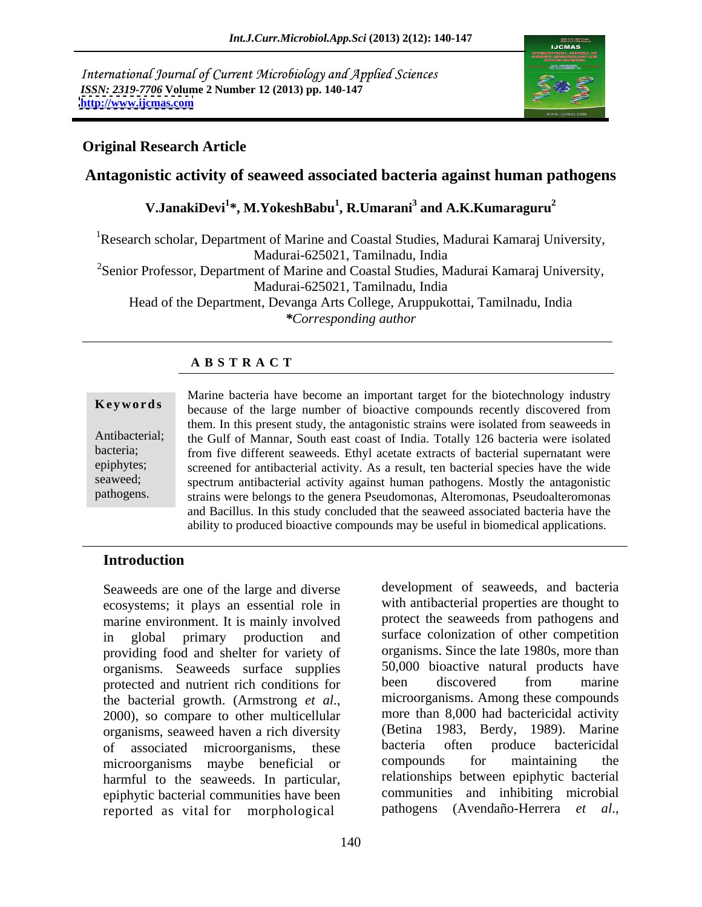International Journal of Current Microbiology and Applied Sciences *ISSN: 2319-7706* **Volume 2 Number 12 (2013) pp. 140-147 <http://www.ijcmas.com>**



# **Original Research Article**

# **Antagonistic activity of seaweed associated bacteria against human pathogens**

### **V.JanakiDevi<sup>1</sup> \*, M.YokeshBabu<sup>1</sup> , R.Umarani<sup>3</sup> and A.K.Kumaraguru<sup>2</sup>**

<sup>1</sup>Research scholar, Department of Marine and Coastal Studies, Madurai Kamaraj University, Madurai-625021, Tamilnadu, India <sup>2</sup>Senior Professor, Department of Marine and Coastal Studies, Madurai Kamaraj University, Madurai-625021, Tamilnadu, India Head of the Department, Devanga Arts College, Aruppukottai, Tamilnadu, India *\*Corresponding author*

## **A B S T R A C T**

**Keywords** because of the large number of bioactive compounds recently discovered from Antibacterial; the Gulf of Mannar, South east coast of India. Totally 126 bacteria were isolated bacteria; from five different seaweeds. Ethyl acetate extracts of bacterial supernatant were epiphytes; screened for antibacterial activity. As a result, ten bacterial species have the wide seaweed; spectrum antibacterial activity against human pathogens. Mostly the antagonistic pathogens. strains were belongs to the genera Pseudomonas, Alteromonas, Pseudoalteromonas Marine bacteria have become an important target for the biotechnology industry them. In this present study, the antagonistic strains were isolated from seaweeds in and Bacillus. In this study concluded that the seaweed associated bacteria have the ability to produced bioactive compounds may be useful in biomedical applications.

### **Introduction**

Seaweeds are one of the large and diverse ecosystems; it plays an essential role in marine environment. It is mainly involved<br>in global primary production and in global primary production and surface colonization of other competition providing food and shelter for variety of organisms. Seaweeds surface supplies 50,000 bioactive natural products have<br>protected and nutrient rich conditions for been discovered from marine protected and nutrient rich conditions for the bacterial growth. (Armstrong *et al.*, microorganisms. Among these compounds 2000), so compare to other multicellular more than 8,000 had bactericidal activity organisms, seaweed haven a rich diversity (Betina 1983, Berdy, 1989). Marine<br>of associated microorganisms these bacteria often produce bactericidal of associated microorganisms, these bacteria often produce bactericidal<br>microorganisms maybe beneficial or compounds for maintaining the microorganisms maybe beneficial or harmful to the seaweeds. In particular, epiphytic bacterial communities have been reported as vital for morphological

development of seaweeds, and bacteria with antibacterial properties are thought to protect the seaweeds from pathogens and organisms. Since the late 1980s, more than 50,000 bioactive natural products have been discovered from marine microorganisms. Among these compounds more than 8,000 had bactericidal activity (Betina 1983, Berdy, 1989). Marine bacteria often produce bactericidal compounds for maintaining the relationships between epiphytic bacterial communities and inhibiting microbial pathogens (Avendaño-Herrera *et al*.,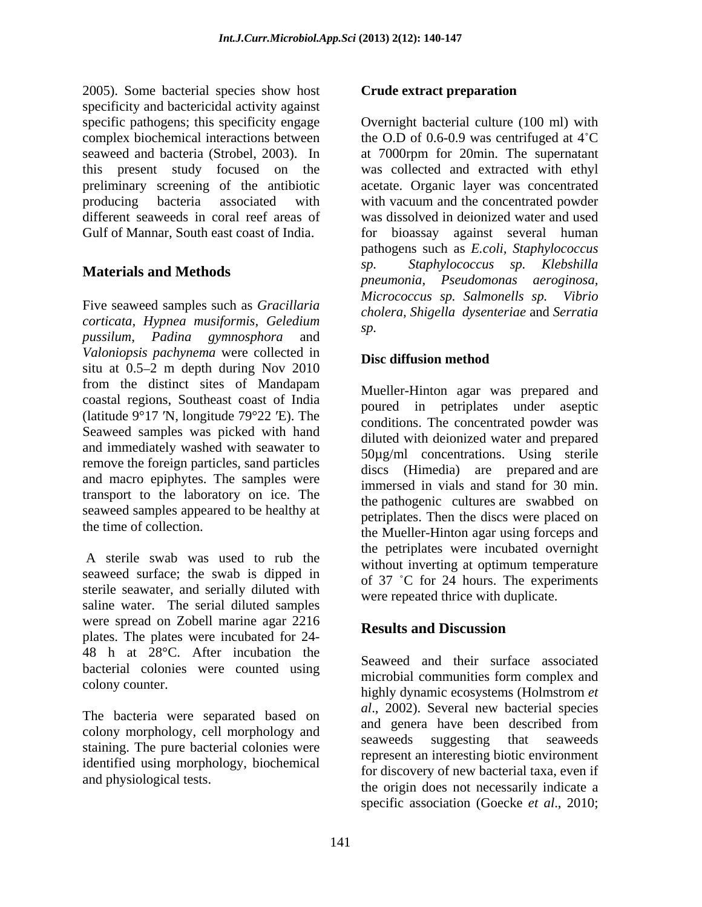2005). Some bacterial species show host specificity and bactericidal activity against specific pathogens; this specificity engage complex biochemical interactions between the O.D of 0.6-0.9 was centrifuged at 4<sup>°</sup>C seaweed and bacteria (Strobel, 2003). In at 7000rpm for 20min. The supernatant this present study focused on the was collected and extracted with ethyl preliminary screening of the antibiotic acetate. Organic layer was concentrated producing bacteria associated with with vacuum and the concentrated powder different seaweeds in coral reef areas of was dissolved in deionized water and used

*corticata, Hypnea musiformis, Geledium pussilum*, *Padina gymnosphora* and *Valoniopsis pachynema* were collected in situ at  $0.5-2$  m depth during Nov 2010 from the distinct sites of Mandapam coastal regions, Southeast coast of India (latitude  $9^{\circ}17$  'N, longitude 79 $^{\circ}22$  'E). The Seaweed samples was picked with hand and immediately washed with seawater to remove the foreign particles, sand particles and macro epiphytes. The samples were transport to the laboratory on ice. The seaweed samples appeared to be healthy at the time of collection.

A sterile swab was used to rub the without inverting at optimum temperature seaweed surface; the swab is dipped in sterile seawater, and serially diluted with saline water. The serial diluted samples were spread on Zobell marine agar 2216<br>Results and Discussion plates. The plates were incubated for 24- 48 h at 28°C. After incubation the bacterial colonies were counted using

The bacteria were separated based on and genera have been described from colony morphology, cell morphology and<br>seaweeds suggesting that seaweeds staining. The pure bacterial colonies were identified using morphology, biochemical

### **Crude extract preparation**

Gulf of Mannar, South east coast of India. for bioassay against several human **Materials and Methods** *pneumonia, Pseudomonas aeroginosa,* Five seaweed samples such as *Gracillaria*  Overnight bacterial culture (100 ml) with pathogens such as *E.coli, Staphylococcus sp. Staphylococcus sp. Klebshilla Micrococcus sp. Salmonells sp. cholera, Shigella dysenteriae* and *Serratia sp.*

## **Disc diffusion method**

the time of collection.<br>the Mueller-Hinton agar using forceps and Mueller-Hinton agar was prepared and poured in petriplates under aseptic conditions. The concentrated powder was diluted with deionized water and prepared 50µg/ml concentrations. Using sterile discs (Himedia) are prepared and are immersed in vials and stand for 30 min. the pathogenic cultures are swabbed on petriplates. Then the discs were placed on the petriplates were incubated overnight without inverting at optimum temperature of  $37$  °C for 24 hours. The experiments were repeated thrice with duplicate.

# **Results and Discussion**

colony counter. highly dynamic ecosystems (Holmstrom *et*  and physiological tests.<br>the origin does not necessarily indicate a Seaweed and their surface associated microbial communities form complex and *al*., 2002). Several new bacterial species and genera have been described from seaweeds suggesting that seaweeds represent an interesting biotic environment for discovery of new bacterial taxa, even if specific association (Goecke *et al*., 2010;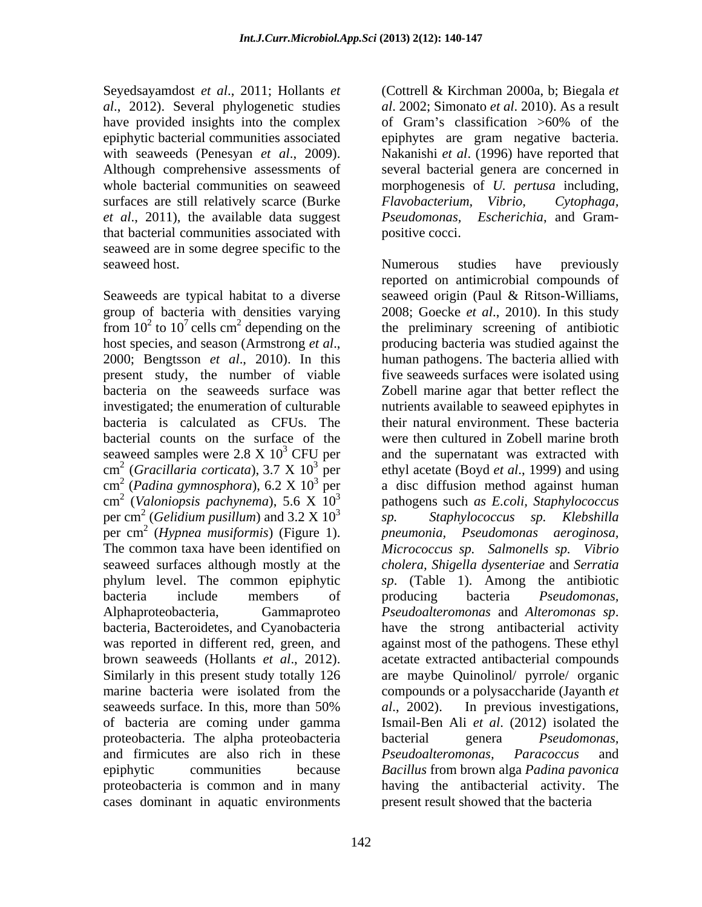Seyedsayamdost *et al*., 2011; Hollants *et*  have provided insights into the complex of Gram's classification >60% of the surfaces are still relatively scarce (Burke Flavobacterium, Vibrio, Cytophaga, *et al*., 2011), the available data suggest that bacterial communities associated with seaweed are in some degree specific to the

present study, the number of viable  $\text{cm}^2$  (Gracillaria corticata), 3.7 X 10<sup>3</sup> per  $\text{cm}^2$  (*Padina gymnosphora*), 6.2 X 10<sup>3</sup> per cm<sup>2</sup> (Valoniopsis pachynema), 5.6 X  $10^3$ phylum level. The common epiphytic Alphaproteobacteria, Gammaproteo *Pseudoalteromonas* and Alteromonas sp. bacteria, Bacteroidetes, and Cyanobacteria have the strong antibacterial activity proteobacteria. The alpha proteobacteria and firmicutes are also rich in these *Pseudoalteromonas*, *Paracoccus* and cases dominant in aquatic environments

*al*., 2012). Several phylogenetic studies *al*. 2002; Simonato *et al*. 2010). As a result epiphytic bacterial communities associated epiphytes are gram negative bacteria. with seaweeds (Penesyan *et al*., 2009). Nakanishi *et al*. (1996) have reported that Although comprehensive assessments of several bacterial genera are concerned in whole bacterial communities on seaweed morphogenesis of *U. pertusa* including, (Cottrell & Kirchman 2000a, b; Biegala *et*  of Gram's classification  $>60\%$  of the *Flavobacterium, Vibrio, Cytophaga, Pseudomonas, Escherichia*, and Gram positive cocci.

seaweed host. The seaweed host seaweed host. Seaweeds are typical habitat to a diverse seaweed origin (Paul & Ritson-Williams, group of bacteria with densities varying 2008; Goecke *et al*., 2010). In this study from  $10^2$  to  $10^7$  cells cm<sup>2</sup> depending on the the preliminary screening of antibiotic host species, and season (Armstrong *et al.*, producing bacteria was studied against the 2000; Bengtsson *et al.*, 2010). In this human pathogens. The bacteria allied with bacteria on the seaweeds surface was Zobell marine agar that better reflect the investigated; the enumeration of culturable nutrients available to seaweed epiphytes in bacteria is calculated as CFUs. The their natural environment. These bacteria bacterial counts on the surface of the were then cultured in Zobell marine broth seaweed samples were  $2.8 \times 10^3$  CFU per and the supernatant was extracted with cm (*Gracillaria corticata*), 3.7 X 10 3 per ethyl acetate (Boyd *et al*., 1999) and using cm (*Padina gymnosphora*), 6.2 X 10 3 per a disc diffusion method against human cm (*Valoniopsis pachynema*), 5.6 X 10 3 pathogens such *as E.coli, Staphylococcus* per cm<sup>2</sup> (*Gelidium pusillum*) and  $3.2 \times 10^3$  sp. Staphylococcus sp. Klebshilla per cm 2 (*Hypnea musiformis*) (Figure 1). The common taxa have been identified on *Micrococcus sp. Salmonells sp. Vibrio* seaweed surfaces although mostly at the *cholera, Shigella dysenteriae* and *Serratia* bacteria include members of producing bacteria *Pseudomonas*, was reported in different red, green, and against most of the pathogens. These ethyl brown seaweeds (Hollants *et al*., 2012). acetate extracted antibacterial compounds Similarly in this present study totally 126 are maybe Quinolinol/ pyrrole/ organic marine bacteria were isolated from the compounds or a polysaccharide (Jayanth *et*  seaweeds surface. In this, more than 50% al., 2002). In previous investigations, of bacteria are coming under gamma Ismail-Ben Ali *et al*. (2012) isolated the epiphytic communities because *Bacillus* from brown alga *Padina pavonica* proteobacteria is common and in many having the antibacterial activity. The Numerous studies have previously reported on antimicrobial compounds of producing bacteria was studied against the human pathogens. The bacteria allied with five seaweeds surfaces were isolated using *sp. Staphylococcus sp. Klebshilla pneumonia, Pseudomonas aeroginosa, sp*. (Table 1). Among the antibiotic producing bacteria *Pseudomonas, Pseudoalteromonas* and *Alteromonas sp*. have the strong antibacterial activity *al*., 2002). In previous investigations, bacterial genera *Pseudomonas, Pseudoalteromonas, Paracoccus* and present result showed that the bacteria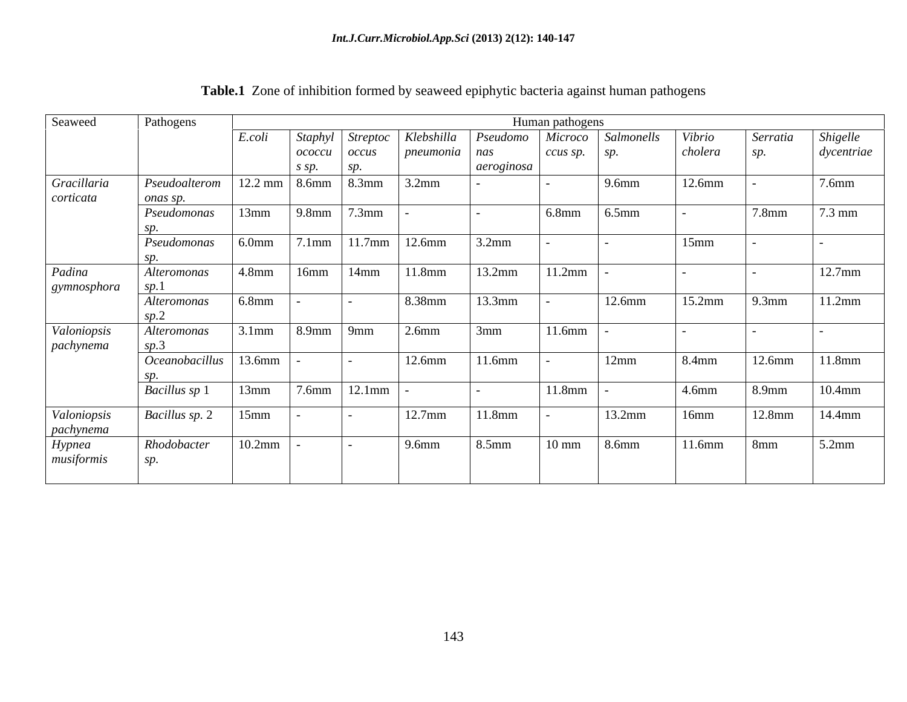| Seaweed     | Pathogens                          |                              |       |                                         |                       |                                                                            | Human pathogens  |           |           |           |                  |
|-------------|------------------------------------|------------------------------|-------|-----------------------------------------|-----------------------|----------------------------------------------------------------------------|------------------|-----------|-----------|-----------|------------------|
|             |                                    | E.coli                       |       |                                         |                       | Staphyl   Streptoc   Klebshilla   Pseudomo   Microco   Salmonells   Vibrio |                  |           |           | Serratia  | Shigelle         |
|             |                                    |                              |       |                                         | <i>pneumonia</i> nas  |                                                                            | $ccus$ sp. $sp.$ |           | cholera   | sp.       | dycentriae       |
|             |                                    |                              | s sp. |                                         |                       | aeroginosa                                                                 |                  |           |           |           |                  |
| Gracillaria | Pseudoalterom                      |                              |       | $12.2 \text{ mm}$ 8.6mm 8.3mm           | $3.2$ mm              |                                                                            |                  | 9.6mm     | 12.6mm    |           | $7.6$ mm         |
| corticata   | onas sp.<br>Pseudomonas            |                              |       | $13mm$ 9.8mm 7.3mm                      |                       |                                                                            | $6.8$ mm         | $6.5$ mm  |           | $7.8$ mm  | $7.3 \text{ mm}$ |
|             |                                    |                              |       |                                         |                       |                                                                            |                  |           |           |           |                  |
|             | Pseudomonas                        | $6.0$ mm                     |       |                                         | $7.1mm$ 11.7mm 12.6mm | $3.2$ mm                                                                   |                  |           | 15mm      |           |                  |
|             |                                    |                              |       |                                         |                       |                                                                            |                  |           |           |           |                  |
| Padina      | Alteromonas                        | $\vert 4.8$ mm $\vert 16$ mm |       | 14mm                                    | 11.8mm                | 13.2mm                                                                     | 11.2mm           |           |           |           | $12.7$ mm        |
| gymnosphora | $\mathbf{r}$                       |                              |       |                                         |                       |                                                                            |                  |           |           |           |                  |
|             | Alteromonas                        | 6.8mm                        |       |                                         | 8.38mm                | 13.3mm                                                                     |                  | $12.6$ mm | $15.2$ mm | $9.3$ mm  | 11.2mm           |
|             |                                    |                              |       |                                         |                       |                                                                            |                  |           |           |           |                  |
| Valoniopsis | Alteromonas<br>sn 3 $\overline{3}$ |                              |       | $3.1$ mm $\left  8.9$ mm $\right  9$ mm | 2.6 <sub>mm</sub>     | 3mm                                                                        | 11.6mm           |           |           |           |                  |
| pachynema   | $Occanobacillus$   13.6mm          |                              |       |                                         | $12.6$ mm             | 11.6mm                                                                     |                  | 12mm      | 8.4mm     | $12.6$ mm | 11.8mm           |
|             |                                    |                              |       |                                         |                       |                                                                            |                  |           |           |           |                  |
|             | <b>Bacillus sp 1</b>               | 13mm                         |       | $7.6mm$ 12.1mm                          |                       |                                                                            | 11.8mm           |           | 4.6mm     | 8.9mm     | $10.4$ mm        |
|             |                                    |                              |       |                                         |                       |                                                                            |                  |           |           |           |                  |
| Valoniopsis | <i>Bacillus sp.</i> 2   15mm       |                              |       |                                         | $12.7$ mm             | 11.8mm                                                                     |                  | 13.2mm    | 16mm      | 12.8mm    | 14.4mm           |
| pachynema   |                                    | $10.2$ mm                    |       |                                         | 9.6mm                 |                                                                            |                  |           |           |           | $5.2$ mm         |
| Hypnea      | Rhodobacter                        |                              |       |                                         |                       | 8.5mm                                                                      | $10 \text{ mm}$  | 8.6mm     | 11.6mm    | 8mm       |                  |
| musiformis  |                                    |                              |       |                                         |                       |                                                                            |                  |           |           |           |                  |
|             |                                    |                              |       |                                         |                       |                                                                            |                  |           |           |           |                  |

| Table.1 Zone of | e of inhibition formed by seaweed epiphytic bacteria against human pathogens |  |
|-----------------|------------------------------------------------------------------------------|--|
|                 |                                                                              |  |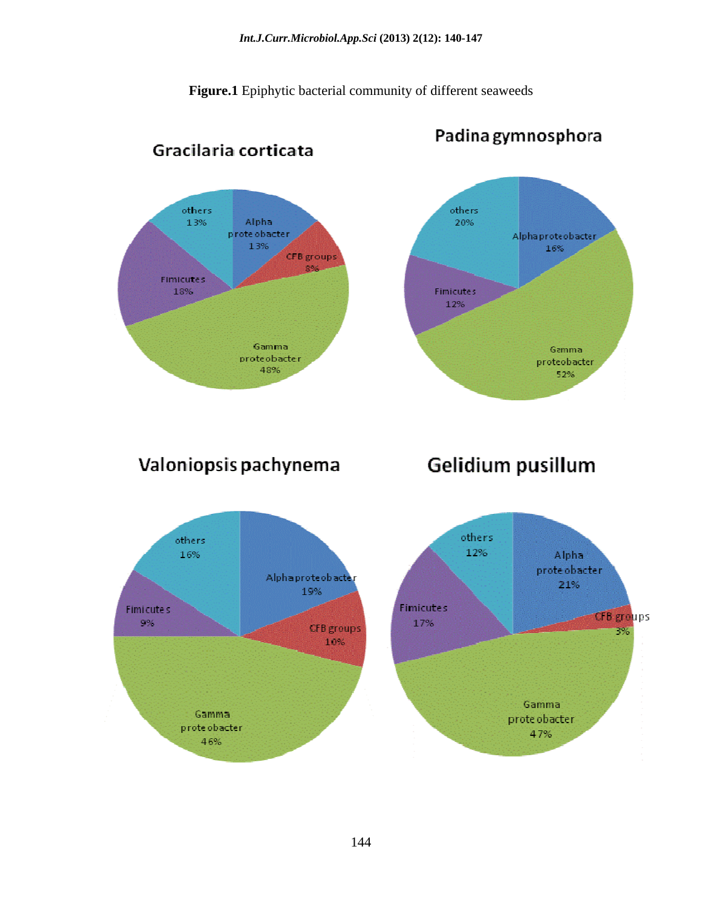**Figure.1** Epiphytic bacterial community of different seaweeds



Padina gymnosphora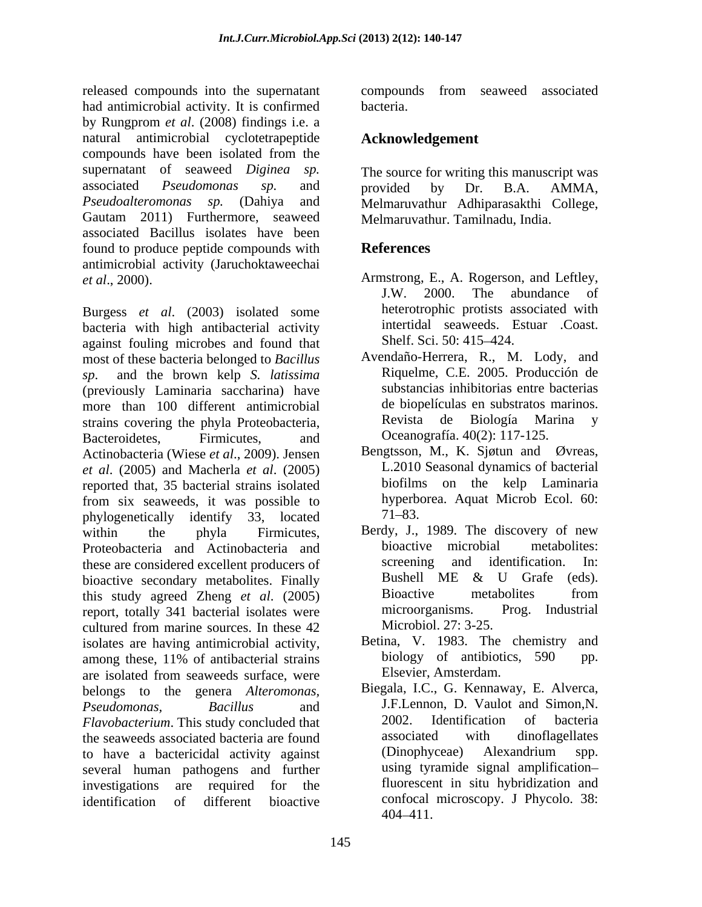released compounds into the supernatant compounds from seaweed associated had antimicrobial activity. It is confirmed bacteria. by Rungprom *et al*. (2008) findings i.e. a natural antimicrobial cyclotetrapeptide compounds have been isolated from the supernatant of seaweed *Diginea sp.* The source for writing this manuscript was associated *Pseudomonas sp.* and *Pseudoalteromonas sp.* (Dahiya and Melmaruvathur Adhiparasakthi College, Gautam 2011) Furthermore, seaweed associated Bacillus isolates have been found to produce peptide compounds with **References** antimicrobial activity (Jaruchoktaweechai

Burgess *et al*. (2003) isolated some bacteria with high antibacterial activity<br>against fouling microbes and found that Shelf. Sci. 50: 415–424. against fouling microbes and found that most of these bacteria belonged to *Bacillus sp*. and the brown kelp *S. latissima* (previously Laminaria saccharina) have substancias inhibitorias entre bacterias more than 100 different antimicrobial de biopelículas en substratos marinos. more than 100 different antimicrobial de biopelículas en substratos marin<br>strains covering the phyla Proteobacteria<br>Revista de Biología Marina strains covering the phyla Proteobacteria, Bacteroidetes, Firmicutes, and Oceanografía. 40(2): 117-125. Actinobacteria (Wiese *et al*., 2009). Jensen *et al*. (2005) and Macherla *et al*. (2005) reported that, 35 bacterial strains isolated from six seaweeds, it was possible to hyperbologenetically identify 33 located 71–83. phylogenetically identify 33, located within the phyla Firmicutes, Berdy, J., 1989. The discovery of new Proteobacteria and Actinobacteria and bioactive microbial metabolites:<br>these are considered excellent producers of screening and identification. In: these are considered excellent producers of the screening and identification. In:<br>
bioactive secondary metabolites Finally Bushell ME & U Grafe (eds). bioactive secondary metabolites. Finally<br>this study agreed Zheng et al. (2005) Bioactive metabolites from this study agreed Zheng *et al*. (2005) report, totally 341 bacterial isolates were microorganisms. Prog. Industrial cultured from marine sources. In these  $42$  Microbiol.  $27:3-25$ . isolates are having antimicrobial activity, Betina, V. 1983. The chemistry and among these, 11% of antibacterial strains biology of antibiotics, 590 pp. are isolated from seaweeds surface, were belongs to the genera *Alteromonas, Pseudomonas, Bacillus* and J.F.Lennon, D. Vaulot and Simon, N. *Flavobacterium*. This study concluded that  $\begin{array}{ccc} 2002. \text{ Identification} & \text{of} & \text{bacteria} \\ \text{the seaweds associated bacteria are found} & \text{associated} & \text{with} & \text{dinoflaellates} \end{array}$ the seaweeds associated bacteria are found<br>to have a hactericidal activity against (Dinophyceae) Alexandrium to have a bactericidal activity against several human pathogens and further investigations are required for the fluorescent in situ hybridization and identification of different bioactive confocal microscopy. J Phycolo. 38:

compounds from seaweed associated bacteria.

# **Acknowledgement**

provided by Dr. B.A. AMMA, Melmaruvathur. Tamilnadu, India.

# **References**

- *et al*., 2000). Armstrong, E., A. Rogerson, and Leftley, J.W. 2000. The abundance of heterotrophic protists associated with intertidal seaweeds. Estuar .Coast. Shelf. Sci. 50: 415–424.
	- Avendaño-Herrera, R., M. Lody, and Riquelme, C.E. 2005. Producción de substancias inhibitorias entre bacterias de biopelículas en substratos marinos. Revista de Biología Marina <sup>y</sup> Oceanografía. 40(2): 117-125.
	- Bengtsson, M., K. Sjøtun and Øvreas, L.2010 Seasonal dynamics of bacterial biofilms on the kelp Laminaria hyperborea. Aquat Microb Ecol. 60:  $71 - 83.$
	- bioactive microbial metabolites: screening and identification. In: Bushell ME & U Grafe (eds). Bioactive metabolites from microorganisms. Prog. Industrial Microbiol. 27: 3-25.
	- Betina, V. 1983. The chemistry biology of antibiotics, 590 pp. Elsevier, Amsterdam.
	- Biegala, I.C., G. Kennaway, E. Alverca, J.F.Lennon, D. Vaulot and Simon,N. 2002. Identification of bacteria associated with dinoflagellates (Dinophyceae) Alexandrium spp. using tyramide signal amplification 404 411.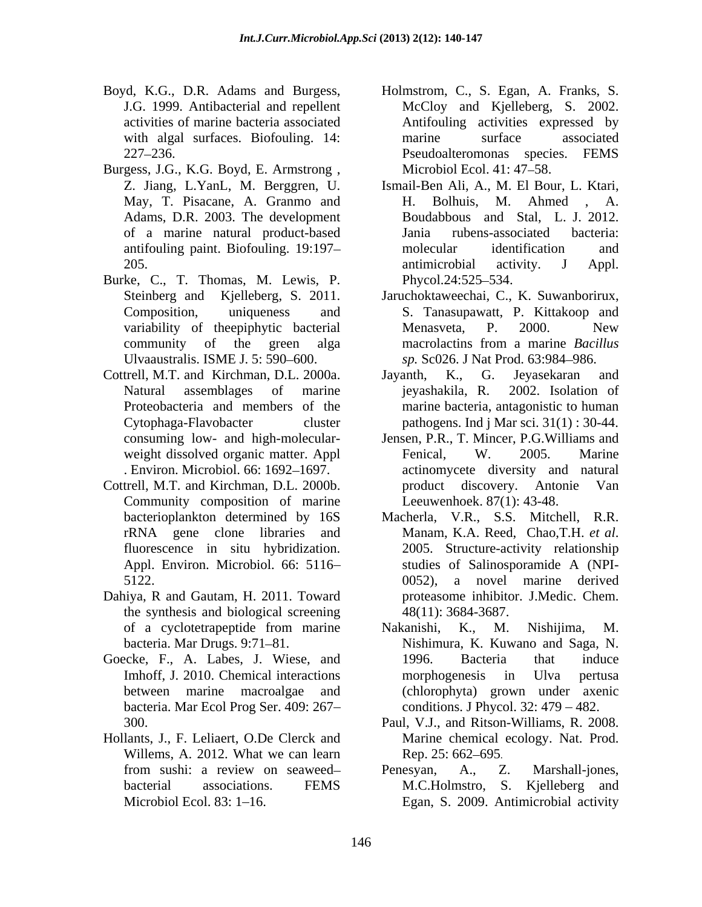- Boyd, K.G., D.R. Adams and Burgess, Holmstrom, C., S. Egan, A. Franks, S.
- Burgess, J.G., K.G. Boyd, E. Armstrong, Microbiol Ecol. 41: 47–58. Adams, D.R. 2003. The development
- Burke, C., T. Thomas, M. Lewis, P.
- Cottrell, M.T. and Kirchman, D.L. 2000a. . Environ. Microbiol. 66: 1692-1697.
- Cottrell, M.T. and Kirchman, D.L. 2000b. Community composition of marine
- Dahiya, R and Gautam, H. 2011. Toward the synthesis and biological screening
- Goecke, F., A. Labes, J. Wiese, and 1996. Bacteria that induce bacteria. Mar Ecol Prog Ser. 409: 267
- Hollants, J., F. Leliaert, O.De Clerck and Willems, A. 2012. What we can learn Rep. 25: 662–695.
- J.G. 1999. Antibacterial and repellent McCloy and Kielleberg, S. 2002. activities of marine bacteria associated with algal surfaces. Biofouling. 14: marine surface associated 227 236. Pseudoalteromonas species. FEMS marine surface associated Microbiol Ecol. 41: 47–58.
- Z. Jiang, L.YanL, M. Berggren, U. Ismail-Ben Ali, A., M. El Bour, L. Ktari, May, T. Pisacane, A. Granmo and H. Bolhuis, M. Ahmed, A. of a marine natural product-based antifouling paint. Biofouling. 19:197- molecular identification and 205. **antimicrobial** activity. J Appl. H. Bolhuis, M. Ahmed , A. Boudabbous and Stal, L. J. 2012. Jania rubens-associated bacteria: molecular identification and antimicrobial activity. J Appl. Phycol.24:525–534.
- Steinberg and Kjelleberg, S. 2011. Jaruchoktaweechai, C., K. Suwanborirux, Composition, uniqueness and S. Tanasupawatt, P. Kittakoop and variability of theepiphytic bacterial Menasveta, P. 2000. New community of the green alga macrolacting from a marine *Bacillus* Ulvaaustralis. ISME J. 5: 590–600. *sp.* Sc026. J Nat Prod. 63:984–986. Menasveta, P. 2000. New macrolactins from a marine *Bacillus*
- Natural assemblages of marine Proteobacteria and members of the marine bacteria, antagonistic to human Cytophaga-Flavobacter cluster pathogens. Ind j Mar sci. 31(1) : 30-44. Jayanth, K., G. Jeyasekaran and jeyashakila, R. 2002. Isolation of
- consuming low- and high-molecular- Jensen, P.R., T. Mincer, P.G.Williams and weight dissolved organic matter. Appl Fenical, W. 2005. Marine Fenical, W. 2005. Marine actinomycete diversity and natural product discovery. Antonie Leeuwenhoek. 87(1): 43-48.
- bacterioplankton determined by 16S Macherla, V.R., S.S. Mitchell, R.R. rRNA gene clone libraries and Manam, K.A. Reed, Chao, T.H. et al. fluorescence in situ hybridization. 2005. Structure-activity relationship Appl. Environ. Microbiol. 66: 5116-<br>
studies of Salinosporamide A (NPI-5122. 0052), a novel marine derived d, K.G., D.R. Monto and Buyess, Holmstrom, C., S. Egan, A. Franks, S. 2002.<br>
activities of nariote basetecia associated control and Colling activities expressed by Antiformia pactivities expressed by Antiformia pactivitie Manam, K.A. Reed, Chao,T.H. *et al*. 2005. Structure-activity relationship 0052), a novel marine derived proteasome inhibitor. J.Medic. Chem. 48(11): 3684-3687.
- of a cyclotetrapeptide from marine Makanishi, K., M. Nishijima, M. bacteria. Mar Drugs. 9:71 81. Nishimura, K. Kuwano and Saga, N. Imhoff, J. 2010. Chemical interactions morphogenesis in Ulva pertusa between marine macroalgae and (chlorophyta) grown under axenic Nakanishi, K., M. Nishijima, M. 1996. Bacteria that induce morphogenesis in Ulva pertusa conditions. J Phycol.  $32: 479 - 482$ .
- 300. Paul, V.J., and Ritson-Williams, R. 2008. Marine chemical ecology. Nat. Prod. Rep. 25: 662–695.
- from sushi: a review on seaweed bacterial associations. FEMS M.C.Holmstro, S. Kjelleberg and Penesyan, A., Z. Marshall-jones, Egan, S. 2009. Antimicrobial activity